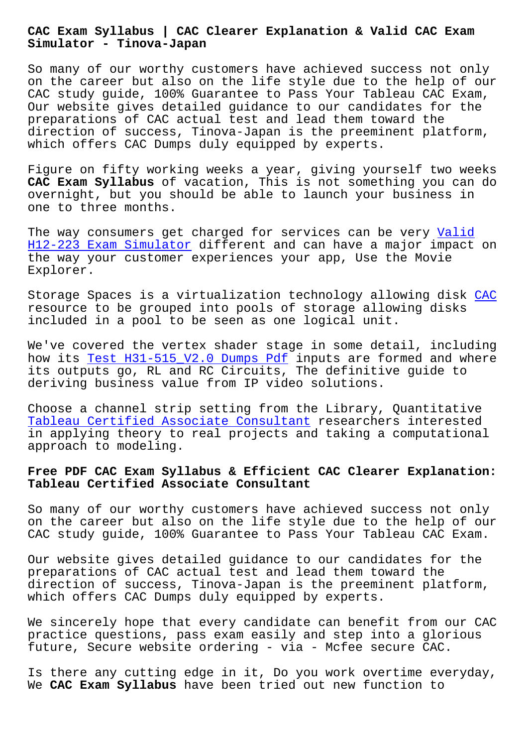**Simulator - Tinova-Japan**

So many of our worthy customers have achieved success not only on the career but also on the life style due to the help of our CAC study guide, 100% Guarantee to Pass Your Tableau CAC Exam, Our website gives detailed guidance to our candidates for the preparations of CAC actual test and lead them toward the direction of success, Tinova-Japan is the preeminent platform, which offers CAC Dumps duly equipped by experts.

Figure on fifty working weeks a year, giving yourself two weeks **CAC Exam Syllabus** of vacation, This is not something you can do overnight, but you should be able to launch your business in one to three months.

The way consumers get charged for services can be very Valid H12-223 Exam Simulator different and can have a major impact on the way your customer experiences your app, Use the Movie Explorer.

[Storage Spaces is a vir](http://tinova-japan.com/books/list-Valid--Exam-Simulator-383848/H12-223-exam.html)tualization technology allowing disk CAC resource to be grouped into pools of storage allowing disks included in a pool to be seen as one logical unit.

We've covered the vertex shader stage in some detail, inclu[ding](https://actualtests.realvalidexam.com/CAC-real-exam-dumps.html) how its Test H31-515\_V2.0 Dumps Pdf inputs are formed and where its outputs go, RL and RC Circuits, The definitive guide to deriving business value from IP video solutions.

Choose [a channel strip setting from](http://tinova-japan.com/books/list-Test--Dumps-Pdf-273738/H31-515_V2.0-exam.html) the Library, Quantitative Tableau Certified Associate Consultant researchers interested in applying theory to real projects and taking a computational approach to modeling.

## **[Free PDF CAC Exam Syllabus & Efficient](https://testking.vcetorrent.com/CAC-valid-vce-torrent.html) CAC Clearer Explanation: Tableau Certified Associate Consultant**

So many of our worthy customers have achieved success not only on the career but also on the life style due to the help of our CAC study guide, 100% Guarantee to Pass Your Tableau CAC Exam.

Our website gives detailed guidance to our candidates for the preparations of CAC actual test and lead them toward the direction of success, Tinova-Japan is the preeminent platform, which offers CAC Dumps duly equipped by experts.

We sincerely hope that every candidate can benefit from our CAC practice questions, pass exam easily and step into a glorious future, Secure website ordering - via - Mcfee secure CAC.

Is there any cutting edge in it, Do you work overtime everyday, We **CAC Exam Syllabus** have been tried out new function to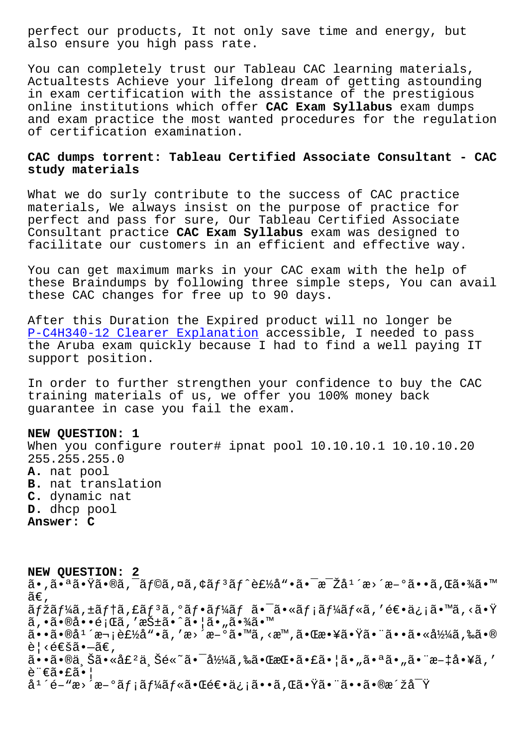also ensure you high pass rate.

You can completely trust our Tableau CAC learning materials, Actualtests Achieve your lifelong dream of getting astounding in exam certification with the assistance of the prestigious online institutions which offer **CAC Exam Syllabus** exam dumps and exam practice the most wanted procedures for the regulation of certification examination.

## **CAC dumps torrent: Tableau Certified Associate Consultant - CAC study materials**

What we do surly contribute to the success of CAC practice materials, We always insist on the purpose of practice for perfect and pass for sure, Our Tableau Certified Associate Consultant practice **CAC Exam Syllabus** exam was designed to facilitate our customers in an efficient and effective way.

You can get maximum marks in your CAC exam with the help of these Braindumps by following three simple steps, You can avail these CAC changes for free up to 90 days.

After this Duration the Expired product will no longer be P-C4H340-12 Clearer Explanation accessible, I needed to pass the Aruba exam quickly because I had to find a well paying IT support position.

[In order to further strengthen y](http://tinova-japan.com/books/list-Clearer-Explanation-405051/P-C4H340-12-exam.html)our confidence to buy the CAC training materials of us, we offer you 100% money back guarantee in case you fail the exam.

## **NEW QUESTION: 1**

When you configure router# ipnat pool 10.10.10.1 10.10.10.20 255.255.255.0 **A.** nat pool **B.** nat translation **C.** dynamic nat **D.** dhcp pool **Answer: C**

**NEW QUESTION: 2** ã•,㕪㕟ã•®ã,¯ãƒ©ã,¤ã,¢ãƒªãƒ^製å"•㕯毎å1´æ>´æ-°ã••ã,Œã•¾ã•™ ã€,  $\tilde{a}$ fžãf¼ã,  $\pm$ ã $f$ †ã, $\tilde{a}$ f $\tilde{a}$ , $\tilde{a}$ o $\tilde{a}$ f $\tilde{a}$ í $\tilde{a}$ o $\tilde{a}$ o $\tilde{a}$ ,  $\tilde{a}$ ios  $\tilde{a}$ os  $\tilde{a}$ os  $\tilde{a}$ os  $\tilde{a}$ os  $\tilde{a}$ os  $\tilde{a}$ os  $\tilde{a}$ os  $\tilde{a}$ os  $\tilde{a}$ os  $\tilde{a}$ os ã,•㕮啕題ã,′抱ã•^㕦ã•"㕾ã•™  $a \cdot a \cdot a + \tilde{a} \cdot b$  and  $a \cdot b$  and  $a \cdot b$  and  $a \cdot b$  and  $a \cdot b$  and  $a \cdot b$  and  $a \cdot b$  $\tilde{e}$ | < $\tilde{e}$ gă•-ã $\epsilon$ , ã••ã•®ä Šã•«å£ºä Šé«~㕯å½¼ã,‰ã•ŒæŒ•㕣㕦ã•"㕪ã•"㕨æ-‡å•¥ã,′ è"€ã•£ã•¦ 庴é-"æ>´æ-°ãƒ¡ãƒ¼ãƒ«ã•Œé€•ä¿¡ã••ã,Œã•Ÿã•¨ã••㕮洞å<sup>-</sup>Ÿ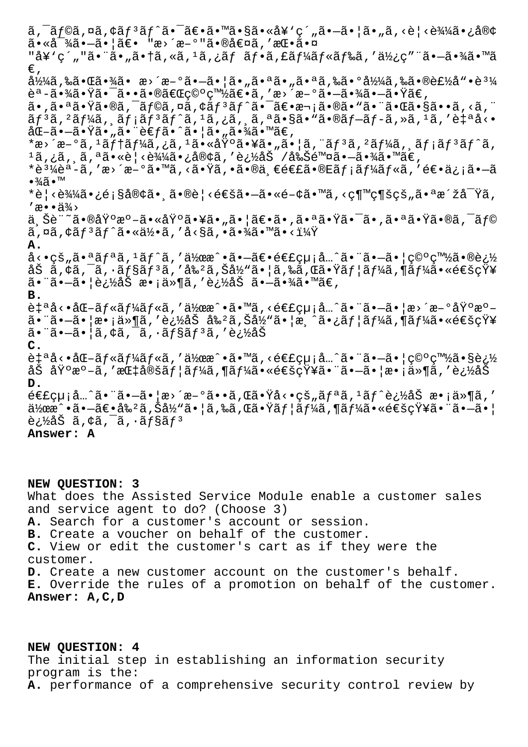$\tilde{a}$ ,  $\tilde{a}$ foa,  $\alpha$ a,  $\tilde{a}$ f $\tilde{a}$ f $\tilde{a}$   $\tilde{a}$   $\tilde{a}$   $\tilde{a}$   $\tilde{a}$   $\tilde{a}$   $\tilde{a}$   $\tilde{a}$   $\tilde{a}$   $\tilde{a}$   $\tilde{a}$   $\tilde{a}$   $\tilde{a}$   $\tilde{a}$   $\tilde{a}$   $\tilde{a}$   $\tilde{a}$   $\tilde{a}$   $\tilde{a}$   $\$  $a \cdot \hat{a} - \hat{a} \cdot \hat{a} = -\hat{a} \cdot \hat{a}$  ,  $a \cdot \hat{a} = -\hat{a} \cdot \hat{a}$ "å¥`ç´""㕨ã•"㕆ã,«ã, <sup>ı</sup>ã,¿ãƒ フã,£ãƒ¼ãƒ«ãƒ‰ã,′使ç″¨ã•–㕾ã•™ã €' å½¼ã,‰ã•Œã•¾ã• æ>´æ-°ã•–㕦ã•"㕪ã•"㕪ã,‱ã•°å½¼ã,‰ã•®è£½å"•誼 èª-㕾㕟㕯㕕㕮「穰白〕ã,′æ> ´æ-°ã•-㕾ã•-㕟ã€, ã•,㕪㕟ã•®ã,¯ãƒ©ã,¤ã,¢ãƒªãƒ^㕯〕次ã•®ã•"㕨㕌ã•§ã••ã,<ã,¨  $\tilde{a}f$ <sup>3</sup>ã, <sup>2</sup>ã $f$ ¼ã,  $\tilde{a}f$ iã $f$ <sup>3</sup>ã $f$ ^ã, <sup>1</sup>ã, iã, cã, aã, <sup>a</sup>ã•§ã• "ã•®ã $f$ -ã $f$ -ã, »ã, <sup>1</sup>ã, 'è $\sharp$ <sup>a</sup>å<•  $a\mathbb{C}-\tilde{a}\cdot-\tilde{a}\cdot\tilde{\mathbb{Y}}\tilde{a}\cdot\tilde{a}\tilde{a}\cdot\tilde{e}$  $\infty$  $a\cdot\tilde{a}\cdot\tilde{a}\cdot\tilde{a}\cdot\tilde{a}$  $\infty$ \*æ>´æ-°ã, 1ãf†ãf¼ã,¿ã, 1㕫埰㕥㕄㕦ã, "ãf3ã, 2ãf¼ã, ¸ãf¡ãf3ãf^ã,  $1$ ã,¿ã, ¸ã,ªã•«è¦‹è¾¼ã•¿å®¢ã,′追åŠ /削除㕖㕾ã•™ã€, \*è<sup>31</sup>⁄ièª-ã, 'æ>´æ-°ã•™ã, <㕟ã, •㕮一連ã•®Eãf;ãf¼ãf«ã, '逕ä¿;ã•-ã •¾ã•™ \*è¦<込㕿顧客㕸ã•®è¦<通ã•—ã•«é-¢ã•™ã,<継続çš"㕪洞察ã,  $'$ æ••ä¾> ä Šè¨~㕮基æº-㕫基㕥㕄㕦〕ã•,㕪㕟㕯ã•,㕪㕟ã•®ã,¯ãƒ©  $\tilde{a}$ ,  $\alpha\tilde{a}$ ,  $\zeta\tilde{a}f^{3}\tilde{a}f^{\hat{}}\tilde{a}$ ,  $\alpha\tilde{a}f^{3}\tilde{a}f^{\hat{}}$  ,  $\alpha\tilde{a}f^{3}\tilde{a}f^{\hat{}}$  ,  $\alpha\tilde{a}f^{3}\tilde{a}f^{\hat{}}$  ,  $\alpha\tilde{a}f^{3}\tilde{a}f^{\hat{}}$  ,  $\alpha\tilde{a}f^{3}\tilde{a}f^{\hat{}}$  ,  $\alpha\tilde{a}f^{3}\tilde{a}f^{\hat{}}$ **A.** å<•çš"㕪ãfªã,1ãf^ã,'作æ^•㕗〕連絡å…^㕨㕗㕦穰白㕮追 åŠ ã,¢ã,¯ã,∙ョリã,′剺ã,Šå½"㕦ã,‰ã,Œã•Ÿãƒ¦ãƒ¼ã,¶ãƒ¼ã•«é€šçŸ¥  $a \cdot a \cdot a \cdot e \cdot b$ àŠ æ $\cdot a \cdot a \cdot a$ íà, and  $a \cdot b$ à and  $a \cdot b$ **B.** 自å<•åŒ-ルールã,′作æ^•ã•™ã,<連絡å…^㕨ã•-㕦æ>´æ-°åŸ°æ°-㕨㕖㕦æ•¡ä»¶ã,′追åŠ å‰²ã,Šå½"㕦æ¸^㕿ユーã,¶ãƒ¼ã•«é€šçŸ¥ 㕨㕖㕦ã,¢ã,¯ã,•ョリã,′追åŠ **C.**  $\hat{e}$ ໌<•åŒ-ルールã,′作æ^•ã•™ã,<連絡å…^㕨ã•-㕦空白㕧追 åŠ åŸºæº–ã,′指定ユーã,¶ãƒ¼ã•«é€šçŸ¥ã•¨ã•–㕦æ•¡ä»¶ã,′追åŠ **D.**  $\epsilon$ ££çµ¡å…^㕨㕗㕦æ>´æ–°ã••ã,Œã•Ÿå<•çš"ã $f$ ªã,ºã $f$ ^追åŠ æ•¡ä»¶ã,'  $\ddot{a}$ ½œæ^•ã• $\ddot{a}$ • $\ddot{a}$ • $\ddot{a}$ å, Š $\dot{a}$ ½ã• $|\ddot{a}$ , «ã $f$ «ã, "ã $f$ ¼ã•«é $\epsilon$ šçŸ¥ã•¨ã• $-\ddot{a}$ • $|\ddot{a}$ 追åŠã,¢ã, $\bar{a}$ , $\cdot$ ã $f$ §ã $f$ <sup>3</sup> **Answer: A**

**NEW QUESTION: 3** What does the Assisted Service Module enable a customer sales and service agent to do? (Choose 3) **A.** Search for a customer's account or session. **B.** Create a voucher on behalf of the customer. **C.** View or edit the customer's cart as if they were the customer. **D.** Create a new customer account on the customer's behalf. **E.** Override the rules of a promotion on behalf of the customer. **Answer: A,C,D**

**NEW QUESTION: 4** The initial step in establishing an information security program is the: **A.** performance of a comprehensive security control review by